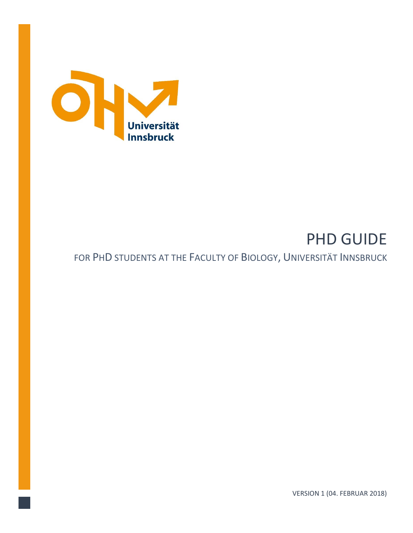

# PHD GUIDE FOR PHD STUDENTS AT THE FACULTY OF BIOLOGY, UNIVERSITÄT INNSBRUCK

VERSION 1 (04. FEBRUAR 2018)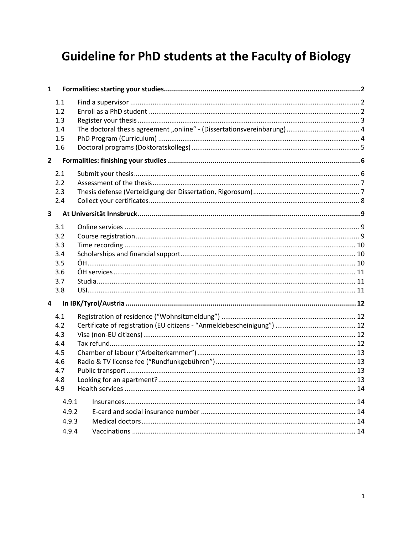# **Guideline for PhD students at the Faculty of Biology**

| $\mathbf{1}$                                             |       |  |
|----------------------------------------------------------|-------|--|
| 1.1<br>1.2<br>1.3<br>1.4<br>1.5<br>1.6<br>$\overline{2}$ |       |  |
|                                                          |       |  |
| 2.1<br>2.2                                               |       |  |
| 2.3                                                      |       |  |
| 2.4                                                      |       |  |
| 3                                                        |       |  |
| 3.1                                                      |       |  |
| 3.2                                                      |       |  |
| 3.3                                                      |       |  |
| 3.4                                                      |       |  |
| 3.5                                                      |       |  |
| 3.6                                                      |       |  |
| 3.7                                                      |       |  |
| 3.8                                                      |       |  |
| 4                                                        |       |  |
| 4.1                                                      |       |  |
| 4.2                                                      |       |  |
| 4.3                                                      |       |  |
| 4.4                                                      |       |  |
| 4.5                                                      |       |  |
| 4.6                                                      |       |  |
| 4.7<br>4.8                                               |       |  |
| 4.9                                                      |       |  |
|                                                          |       |  |
|                                                          | 4.9.1 |  |
|                                                          | 4.9.2 |  |
|                                                          | 4.9.3 |  |
|                                                          | 4.9.4 |  |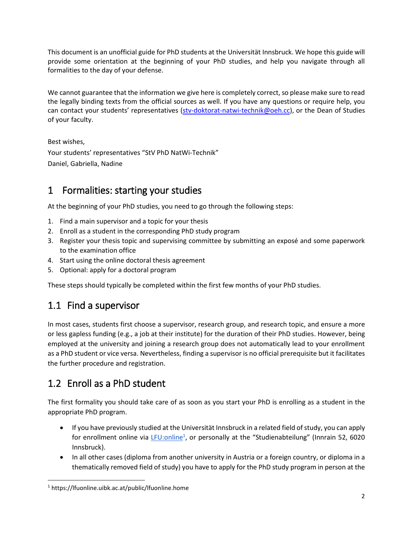This document is an unofficial guide for PhD students at the Universität Innsbruck. We hope this guide will provide some orientation at the beginning of your PhD studies, and help you navigate through all formalities to the day of your defense.

We cannot guarantee that the information we give here is completely correct, so please make sure to read the legally binding texts from the official sources as well. If you have any questions or require help, you can contact your students' representatives ([stv-doktorat-natwi-technik@oeh.cc\)](mailto:stv-doktorat-natwi-technik@oeh.cc), or the Dean of Studies of your faculty.

Best wishes, Your students' representatives "StV PhD NatWi-Technik" Daniel, Gabriella, Nadine

#### <span id="page-2-0"></span>1 Formalities: starting your studies

At the beginning of your PhD studies, you need to go through the following steps:

- 1. Find a main supervisor and a topic for your thesis
- 2. Enroll as a student in the corresponding PhD study program
- 3. Register your thesis topic and supervising committee by submitting an exposé and some paperwork to the examination office
- 4. Start using the online doctoral thesis agreement
- 5. Optional: apply for a doctoral program

These steps should typically be completed within the first few months of your PhD studies.

#### <span id="page-2-1"></span>1.1 Find a supervisor

In most cases, students first choose a supervisor, research group, and research topic, and ensure a more or less gapless funding (e.g., a job at their institute) for the duration of their PhD studies. However, being employed at the university and joining a research group does not automatically lead to your enrollment as a PhD student or vice versa. Nevertheless, finding a supervisor is no official prerequisite but it facilitates the further procedure and registration.

### <span id="page-2-2"></span>1.2 Enroll as a PhD student

The first formality you should take care of as soon as you start your PhD is enrolling as a student in the appropriate PhD program.

- If you have previously studied at the Universität Innsbruck in a related field of study, you can apply for enrollment online via *LFU:online<sup>1</sup>*, or personally at the "Studienabteilung" (Innrain 52, 6020 Innsbruck).
- In all other cases (diploma from another university in Austria or a foreign country, or diploma in a thematically removed field of study) you have to apply for the PhD study program in person at the

 $\overline{a}$ <sup>1</sup> https://lfuonline.uibk.ac.at/public/lfuonline.home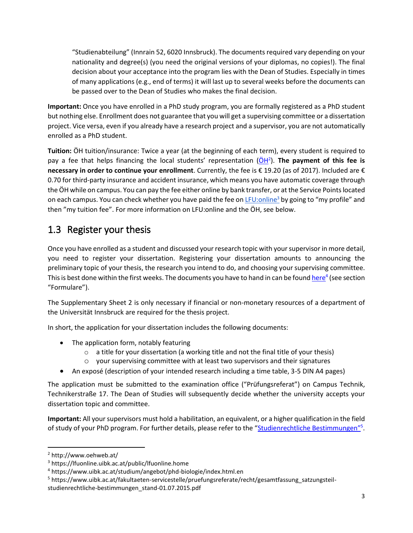"Studienabteilung" (Innrain 52, 6020 Innsbruck). The documents required vary depending on your nationality and degree(s) (you need the original versions of your diplomas, no copies!). The final decision about your acceptance into the program lies with the Dean of Studies. Especially in times of many applications (e.g., end of terms) it will last up to several weeks before the documents can be passed over to the Dean of Studies who makes the final decision.

**Important:** Once you have enrolled in a PhD study program, you are formally registered as a PhD student but nothing else. Enrollment does not guarantee that you will get a supervising committee or a dissertation project. Vice versa, even if you already have a research project and a supervisor, you are not automatically enrolled as a PhD student.

**Tuition:** ÖH tuition/insurance: Twice a year (at the beginning of each term), every student is required to pay a fee that helps financing the local students' representation (OH<sup>2</sup>). The payment of this fee is **necessary in order to continue your enrollment**. Currently, the fee is € 19.20 (as of 2017). Included are € 0.70 for third-party insurance and accident insurance, which means you have automatic coverage through the ÖH while on campus. You can pay the fee either online by bank transfer, or at the Service Pointslocated on each campus. You can check whether you have paid the fee on [LFU:online](https://lfuonline.uibk.ac.at/public/lfuonline.home)<sup>3</sup> by going to "my profile" and then "my tuition fee". For more information on LFU:online and the ÖH, see below.

#### <span id="page-3-0"></span>1.3 Register your thesis

Once you have enrolled as a student and discussed your research topic with your supervisor in more detail, you need to register your dissertation. Registering your dissertation amounts to announcing the preliminary topic of your thesis, the research you intend to do, and choosing your supervising committee. This is best done within the first weeks. The documents you have to hand in can be found <u>[here](https://www.uibk.ac.at/studium/angebot/phd-biologie/index.html.en)</u><sup>4</sup> (see section "Formulare").

The Supplementary Sheet 2 is only necessary if financial or non-monetary resources of a department of the Universität Innsbruck are required for the thesis project.

In short, the application for your dissertation includes the following documents:

- The application form, notably featuring
	- o a title for your dissertation (a working title and not the final title of your thesis)
	- o your supervising committee with at least two supervisors and their signatures
- An exposé (description of your intended research including a time table, 3-5 DIN A4 pages)

The application must be submitted to the examination office ("Prüfungsreferat") on Campus Technik, Technikerstraße 17. The Dean of Studies will subsequently decide whether the university accepts your dissertation topic and committee.

**Important:** All your supervisors must hold a habilitation, an equivalent, or a higher qualification in the field of study of your PhD program. For further details, please refer to the "[Studienrechtliche Bestimmungen](https://www.uibk.ac.at/fakultaeten-servicestelle/pruefungsreferate/recht/gesamtfassung_satzungsteil-studienrechtliche-bestimmungen_stand-01.07.2015.pdf)"<sup>5</sup>.

<sup>2</sup> http://www.oehweb.at/

<sup>3</sup> https://lfuonline.uibk.ac.at/public/lfuonline.home

<sup>4</sup> https://www.uibk.ac.at/studium/angebot/phd-biologie/index.html.en

<sup>5</sup> https://www.uibk.ac.at/fakultaeten-servicestelle/pruefungsreferate/recht/gesamtfassung\_satzungsteilstudienrechtliche-bestimmungen\_stand-01.07.2015.pdf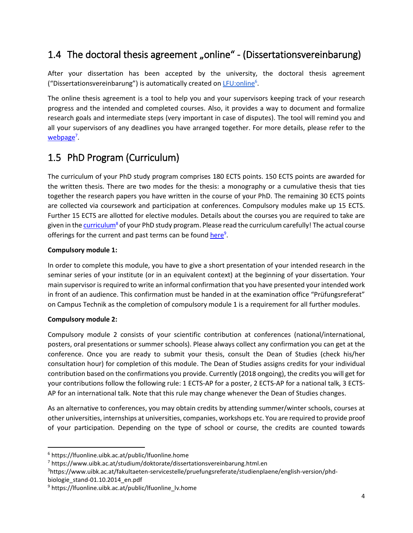#### <span id="page-4-0"></span>1.4 The doctoral thesis agreement "online" - (Dissertationsvereinbarung)

After your dissertation has been accepted by the university, the doctoral thesis agreement ("Dissertationsvereinbarung") is automatically created on *[LFU:online](https://lfuonline.uibk.ac.at/public/lfuonline.home)<sup>6</sup>*.

The online thesis agreement is a tool to help you and your supervisors keeping track of your research progress and the intended and completed courses. Also, it provides a way to document and formalize research goals and intermediate steps (very important in case of disputes). The tool will remind you and all your supervisors of any deadlines you have arranged together. For more details, please refer to the [webpage](https://www.uibk.ac.at/studium/doktorate/dissertationsvereinbarung.html.en)<sup>7</sup>.

### <span id="page-4-1"></span>1.5 PhD Program (Curriculum)

The curriculum of your PhD study program comprises 180 ECTS points. 150 ECTS points are awarded for the written thesis. There are two modes for the thesis: a monography or a cumulative thesis that ties together the research papers you have written in the course of your PhD. The remaining 30 ECTS points are collected via coursework and participation at conferences. Compulsory modules make up 15 ECTS. Further 15 ECTS are allotted for elective modules. Details about the courses you are required to take are given in th[e curriculum](https://www.uibk.ac.at/fakultaeten-servicestelle/pruefungsreferate/studienplaene/english-version/phd-biologie_stand-01.10.2014_en.pdf)<sup>8</sup> of your PhD study program. Please read the curriculum carefully! The actual course offerings for the current and past terms can be foun[d here](https://lfuonline.uibk.ac.at/public/lfuonline_lv.home)<sup>9</sup>.

#### **Compulsory module 1:**

In order to complete this module, you have to give a short presentation of your intended research in the seminar series of your institute (or in an equivalent context) at the beginning of your dissertation. Your main supervisor is required to write an informal confirmation that you have presented your intended work in front of an audience. This confirmation must be handed in at the examination office "Prüfungsreferat" on Campus Technik as the completion of compulsory module 1 is a requirement for all further modules.

#### **Compulsory module 2:**

 $\ddot{\phantom{a}}$ 

Compulsory module 2 consists of your scientific contribution at conferences (national/international, posters, oral presentations or summer schools). Please always collect any confirmation you can get at the conference. Once you are ready to submit your thesis, consult the Dean of Studies (check his/her consultation hour) for completion of this module. The Dean of Studies assigns credits for your individual contribution based on the confirmations you provide. Currently (2018 ongoing), the credits you will get for your contributions follow the following rule: 1 ECTS-AP for a poster, 2 ECTS-AP for a national talk, 3 ECTS-AP for an international talk. Note that this rule may change whenever the Dean of Studies changes.

As an alternative to conferences, you may obtain credits by attending summer/winter schools, courses at other universities, internships at universities, companies, workshops etc. You are required to provide proof of your participation. Depending on the type of school or course, the credits are counted towards

3https://www.uibk.ac.at/fakultaeten-servicestelle/pruefungsreferate/studienplaene/english-version/phdbiologie\_stand-01.10.2014\_en.pdf

<sup>6</sup> https://lfuonline.uibk.ac.at/public/lfuonline.home

<sup>7</sup> https://www.uibk.ac.at/studium/doktorate/dissertationsvereinbarung.html.en

<sup>9</sup> https://lfuonline.uibk.ac.at/public/lfuonline\_lv.home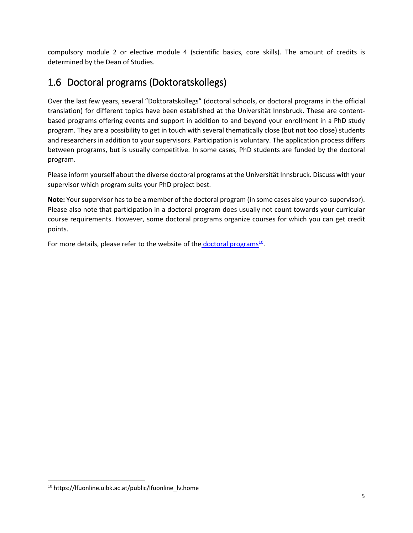compulsory module 2 or elective module 4 (scientific basics, core skills). The amount of credits is determined by the Dean of Studies.

#### <span id="page-5-0"></span>1.6 Doctoral programs (Doktoratskollegs)

Over the last few years, several "Doktoratskollegs" (doctoral schools, or doctoral programs in the official translation) for different topics have been established at the Universität Innsbruck. These are contentbased programs offering events and support in addition to and beyond your enrollment in a PhD study program. They are a possibility to get in touch with several thematically close (but not too close) students and researchers in addition to your supervisors. Participation is voluntary. The application process differs between programs, but is usually competitive. In some cases, PhD students are funded by the doctoral program.

Please inform yourself about the diverse doctoral programs at the Universität Innsbruck. Discuss with your supervisor which program suits your PhD project best.

**Note:** Your supervisor has to be a member of the doctoral program (in some cases also your co-supervisor). Please also note that participation in a doctoral program does usually not count towards your curricular course requirements. However, some doctoral programs organize courses for which you can get credit points.

For more details, please refer to the website of the **[doctoral programs](https://www.uibk.ac.at/forschung/doktoratskollegs/index.html.de)**<sup>10</sup>.

<sup>10</sup> https://lfuonline.uibk.ac.at/public/lfuonline\_lv.home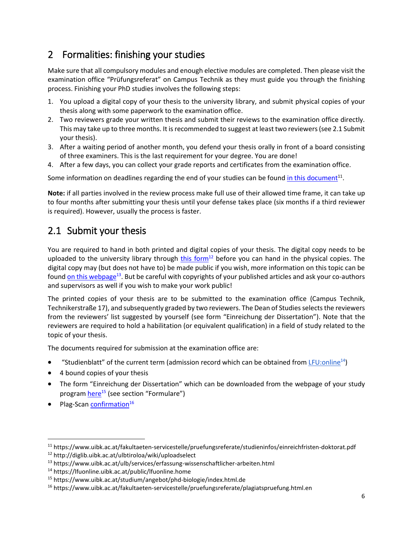#### <span id="page-6-0"></span>2 Formalities: finishing your studies

Make sure that all compulsory modules and enough elective modules are completed. Then please visit the examination office "Prüfungsreferat" on Campus Technik as they must guide you through the finishing process. Finishing your PhD studies involves the following steps:

- 1. You upload a digital copy of your thesis to the university library, and submit physical copies of your thesis along with some paperwork to the examination office.
- 2. Two reviewers grade your written thesis and submit their reviews to the examination office directly. This may take up to three months. It is recommended to suggest at least two reviewers (see 2.1 Submit your thesis).
- 3. After a waiting period of another month, you defend your thesis orally in front of a board consisting of three examiners. This is the last requirement for your degree. You are done!
- 4. After a few days, you can collect your grade reports and certificates from the examination office.

Some information on deadlines regarding the end of your studies can be foun[d in this document](https://www.uibk.ac.at/fakultaeten-servicestelle/pruefungsreferate/studieninfos/einreichfristen-doktorat.pdf)<sup>11</sup>.

**Note:** if all parties involved in the review process make full use of their allowed time frame, it can take up to four months after submitting your thesis until your defense takes place (six months if a third reviewer is required). However, usually the process is faster.

#### <span id="page-6-1"></span>2.1 Submit your thesis

You are required to hand in both printed and digital copies of your thesis. The digital copy needs to be uploaded to the university library through [this form](http://diglib.uibk.ac.at/ulbtiroloa/wiki/uploadselect)<sup>12</sup> before you can hand in the physical copies. The digital copy may (but does not have to) be made public if you wish, more information on this topic can be found <u>on this webpage</u><sup>13</sup>. But be careful with copyrights of your published articles and ask your co-authors and supervisors as well if you wish to make your work public!

The printed copies of your thesis are to be submitted to the examination office (Campus Technik, Technikerstraße 17), and subsequently graded by two reviewers. The Dean of Studies selects the reviewers from the reviewers' list suggested by yourself (see form "Einreichung der Dissertation"). Note that the reviewers are required to hold a habilitation (or equivalent qualification) in a field of study related to the topic of your thesis.

The documents required for submission at the examination office are:

- "Studienblatt" of the current term (admission record which can be obtained fro[m LFU:online](https://lfuonline.uibk.ac.at/public/lfuonline.home)<sup>14</sup>)
- 4 bound copies of your thesis
- The form "Einreichung der Dissertation" which can be downloaded from the webpage of your study program [here](https://www.uibk.ac.at/studium/angebot/phd-biologie/index.html.de)<sup>15</sup> (see section "Formulare")
- $\bullet$  Plag-Scan [confirmation](https://www.uibk.ac.at/fakultaeten-servicestelle/pruefungsreferate/plagiatspruefung.html.en)<sup>16</sup>

<sup>11</sup> https://www.uibk.ac.at/fakultaeten-servicestelle/pruefungsreferate/studieninfos/einreichfristen-doktorat.pdf

<sup>12</sup> http://diglib.uibk.ac.at/ulbtiroloa/wiki/uploadselect

<sup>13</sup> https://www.uibk.ac.at/ulb/services/erfassung-wissenschaftlicher-arbeiten.html

<sup>14</sup> https://lfuonline.uibk.ac.at/public/lfuonline.home

<sup>15</sup> https://www.uibk.ac.at/studium/angebot/phd-biologie/index.html.de

<sup>16</sup> https://www.uibk.ac.at/fakultaeten-servicestelle/pruefungsreferate/plagiatspruefung.html.en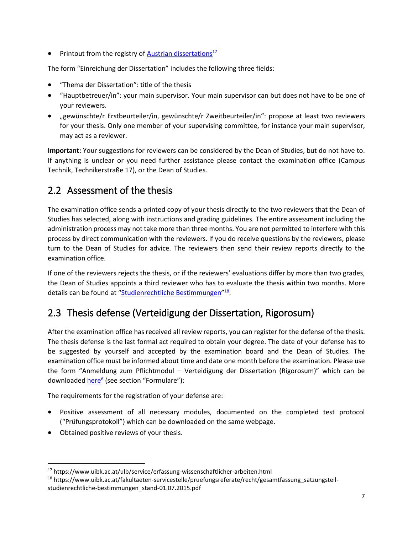• Printout from the registry o[f Austrian dissertations](https://www.uibk.ac.at/ulb/service/erfassung-wissenschaftlicher-arbeiten.html)<sup>1[7](https://www.uibk.ac.at/ulb/service/erfassung-wissenschaftlicher-arbeiten.html)</sup>

The form "Einreichung der Dissertation" includes the following three fields:

- "Thema der Dissertation": title of the thesis
- "Hauptbetreuer/in": your main supervisor. Your main supervisor can but does not have to be one of your reviewers.
- "gewünschte/r Erstbeurteiler/in, gewünschte/r Zweitbeurteiler/in": propose at least two reviewers for your thesis. Only one member of your supervising committee, for instance your main supervisor, may act as a reviewer.

**Important:** Your suggestions for reviewers can be considered by the Dean of Studies, but do not have to. If anything is unclear or you need further assistance please contact the examination office (Campus Technik, Technikerstraße 17), or the Dean of Studies.

#### <span id="page-7-0"></span>2.2 Assessment of the thesis

The examination office sends a printed copy of your thesis directly to the two reviewers that the Dean of Studies has selected, along with instructions and grading guidelines. The entire assessment including the administration process may not take more than three months. You are not permitted to interfere with this process by direct communication with the reviewers. If you do receive questions by the reviewers, please turn to the Dean of Studies for advice. The reviewers then send their review reports directly to the examination office.

If one of the reviewers rejects the thesis, or if the reviewers' evaluations differ by more than two grades, the Dean of Studies appoints a third reviewer who has to evaluate the thesis within two months. More details can be found at "[Studienrechtliche Bestimmungen](https://www.uibk.ac.at/fakultaeten-servicestelle/pruefungsreferate/recht/gesamtfassung_satzungsteil-studienrechtliche-bestimmungen_stand-01.07.2015.pdf)"<sup>18</sup>.

#### <span id="page-7-1"></span>2.3 Thesis defense (Verteidigung der Dissertation, Rigorosum)

After the examination office has received all review reports, you can register for the defense of the thesis. The thesis defense is the last formal act required to obtain your degree. The date of your defense has to be suggested by yourself and accepted by the examination board and the Dean of Studies. The examination office must be informed about time and date one month before the examination. Please use the form "Anmeldung zum Pflichtmodul – Verteidigung der Dissertation (Rigorosum)" which can be downloaded <u>[here](https://www.uibk.ac.at/studium/angebot/phd-biologie/index.html.en)<sup>6</sup></u> (see section "Formulare"):

The requirements for the registration of your defense are:

- Positive assessment of all necessary modules, documented on the completed test protocol ("Prüfungsprotokoll") which can be downloaded on the same webpage.
- Obtained positive reviews of your thesis.

<sup>17</sup> https://www.uibk.ac.at/ulb/service/erfassung-wissenschaftlicher-arbeiten.html

<sup>18</sup> https://www.uibk.ac.at/fakultaeten-servicestelle/pruefungsreferate/recht/gesamtfassung\_satzungsteilstudienrechtliche-bestimmungen\_stand-01.07.2015.pdf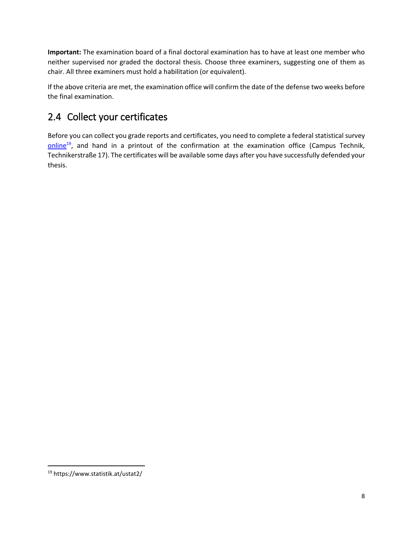**Important:** The examination board of a final doctoral examination has to have at least one member who neither supervised nor graded the doctoral thesis. Choose three examiners, suggesting one of them as chair. All three examiners must hold a habilitation (or equivalent).

If the above criteria are met, the examination office will confirm the date of the defense two weeks before the final examination.

### <span id="page-8-0"></span>2.4 Collect your certificates

Before you can collect you grade reports and certificates, you need to complete a federal statistical survey [online](https://www.statistik.at/ustat2/)<sup>19</sup>, and hand in a printout of the confirmation at the examination office (Campus Technik, Technikerstraße 17). The certificates will be available some days after you have successfully defended your thesis.

<sup>19</sup> https://www.statistik.at/ustat2/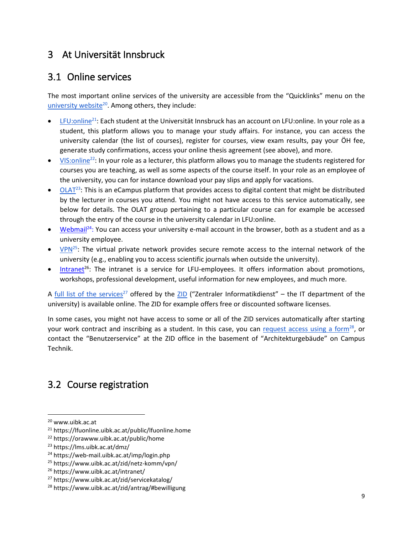#### <span id="page-9-0"></span>3 At Universität Innsbruck

#### <span id="page-9-1"></span>3.1 Online services

The most important online services of the university are accessible from the "Quicklinks" menu on the [university website](http://www.uibk.ac.at/)<sup>20</sup>. Among others, they include:

- [LFU:online](https://lfuonline.uibk.ac.at/public/lfuonline.home)<sup>21</sup>: Each student at the Universität Innsbruck has an account on LFU:online. In your role as a student, this platform allows you to manage your study affairs. For instance, you can access the university calendar (the list of courses), register for courses, view exam results, pay your ÖH fee, generate study confirmations, access your online thesis agreement (see above), and more.
- $\bullet$  [VIS:online](https://orawww.uibk.ac.at/public/home)<sup>22</sup>: In your role as a lecturer, this platform allows you to manage the students registered for courses you are teaching, as well as some aspects of the course itself. In your role as an employee of the university, you can for instance download your pay slips and apply for vacations.
- [OLAT](https://lms.uibk.ac.at/dmz/)<sup>23</sup>: This is an eCampus platform that provides access to digital content that might be distributed by the lecturer in courses you attend. You might not have access to this service automatically, see below for details. The OLAT group pertaining to a particular course can for example be accessed through the entry of the course in the university calendar in LFU:online.
- [Webmail](https://web-mail.uibk.ac.at/imp/login.php)<sup>24</sup>: You can access your university e-mail account in the browser, both as a student and as a university employee.
- $VPN<sup>25</sup>$  $VPN<sup>25</sup>$ . The virtual private network provides secure remote access to the internal network of the university (e.g., enabling you to access scientific journals when outside the university).
- [Intranet](https://www.uibk.ac.at/intranet/)<sup>26</sup>: The intranet is a service for LFU-employees. It offers information about promotions, workshops, professional development, useful information for new employees, and much more.

A [full list of the services](https://www.uibk.ac.at/zid/servicekatalog/)<sup>27</sup> offered by the [ZID](https://www.uibk.ac.at/zid/) ("Zentraler Informatikdienst" – the IT department of the university) is available online. The ZID for example offers free or discounted software licenses.

In some cases, you might not have access to some or all of the ZID services automatically after starting your work contract and inscribing as a student. In this case, you can [request access using a form](https://www.uibk.ac.at/zid/antrag/#bewilligung)<sup>28</sup>, or contact the "Benutzerservice" at the ZID office in the basement of "Architekturgebäude" on Campus Technik.

#### <span id="page-9-2"></span>3.2 Course registration

<sup>20</sup> www.uibk.ac.at

<sup>21</sup> https://lfuonline.uibk.ac.at/public/lfuonline.home

<sup>22</sup> https://orawww.uibk.ac.at/public/home

<sup>23</sup> https://lms.uibk.ac.at/dmz/

<sup>24</sup> https://web-mail.uibk.ac.at/imp/login.php

<sup>25</sup> https://www.uibk.ac.at/zid/netz-komm/vpn/

<sup>26</sup> https://www.uibk.ac.at/intranet/

<sup>27</sup> https://www.uibk.ac.at/zid/servicekatalog/

<sup>28</sup> https://www.uibk.ac.at/zid/antrag/#bewilligung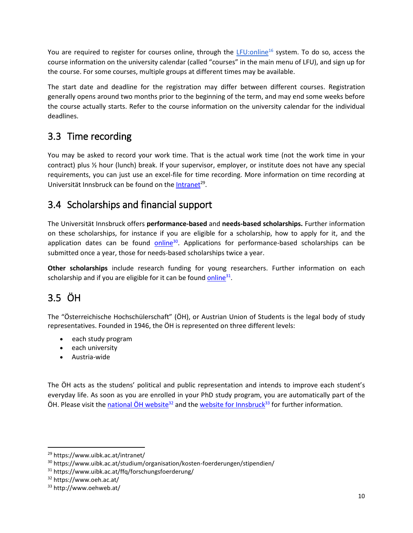You are required to register for courses online, through the [LFU:online](https://lfuonline.uibk.ac.at/public/lfuonline.home)<sup>16</sup> system. To do so, access the course information on the university calendar (called "courses" in the main menu of LFU), and sign up for the course. For some courses, multiple groups at different times may be available.

The start date and deadline for the registration may differ between different courses. Registration generally opens around two months prior to the beginning of the term, and may end some weeks before the course actually starts. Refer to the course information on the university calendar for the individual deadlines.

#### <span id="page-10-0"></span>3.3 Time recording

You may be asked to record your work time. That is the actual work time (not the work time in your contract) plus ½ hour (lunch) break. If your supervisor, employer, or institute does not have any special requirements, you can just use an excel-file for time recording. More information on time recording at Universität Innsbruck can be found on the *Intranet<sup>29</sup>*.

#### <span id="page-10-1"></span>3.4 Scholarships and financial support

The Universität Innsbruck offers **performance-based** and **needs-based scholarships.** Further information on these scholarships, for instance if you are eligible for a scholarship, how to apply for it, and the application dates can be found [online](http://www.uibk.ac.at/studium/organisation/kosten-foerderungen/stipendien)<sup>30</sup>. Applications for performance-based scholarships can be submitted once a year, those for needs-based scholarships twice a year.

**Other scholarships** include research funding for young researchers. Further information on each scholarship and if you are eligible for it can be found **online**<sup>31</sup>.

### <span id="page-10-2"></span>3.5 ÖH

The "Österreichische Hochschülerschaft" (ÖH), or Austrian Union of Students is the legal body of study representatives. Founded in 1946, the ÖH is represented on three different levels:

- each study program
- each university
- Austria-wide

The ÖH acts as the studens' political and public representation and intends to improve each student's everyday life. As soon as you are enrolled in your PhD study program, you are automatically part of the  $\ddot{\text{O}}$ H. Please visit the national  $\ddot{\text{O}}$ H website<sup>32</sup> and th[e website for Innsbruck](http://www.oehweb.at/)<sup>33</sup> for further information.

<sup>29</sup> https://www.uibk.ac.at/intranet/

<sup>&</sup>lt;sup>30</sup> https://www.uibk.ac.at/studium/organisation/kosten-foerderungen/stipendien/

<sup>31</sup> https://www.uibk.ac.at/ffq/forschungsfoerderung/

<sup>32</sup> https://www.oeh.ac.at/

<sup>33</sup> http://www.oehweb.at/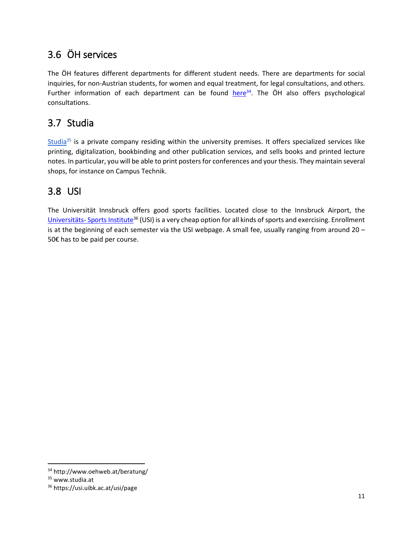### <span id="page-11-0"></span>3.6 ÖH services

The ÖH features different departments for different student needs. There are departments for social inquiries, for non-Austrian students, for women and equal treatment, for legal consultations, and others. Further information of each department can be found  $here<sup>34</sup>$  $here<sup>34</sup>$ . The  $OH$  also offers psychological consultations.

#### <span id="page-11-1"></span>3.7 Studia

[Studia](http://www.studia.at/)<sup>35</sup> is a private company residing within the university premises. It offers specialized services like printing, digitalization, bookbinding and other publication services, and sells books and printed lecture notes. In particular, you will be able to print posters for conferences and your thesis. They maintain several shops, for instance on Campus Technik.

#### <span id="page-11-2"></span>3.8 USI

The Universität Innsbruck offers good sports facilities. Located close to the Innsbruck Airport, the Universitäts- [Sports Institute](https://usi.uibk.ac.at/usi/page)<sup>36</sup> (USI) is a very cheap option for all kinds of sports and exercising. Enrollment is at the beginning of each semester via the USI webpage. A small fee, usually ranging from around 20 – 50€ has to be paid per course.

<sup>34</sup> http://www.oehweb.at/beratung/

<sup>35</sup> www.studia.at

<sup>36</sup> https://usi.uibk.ac.at/usi/page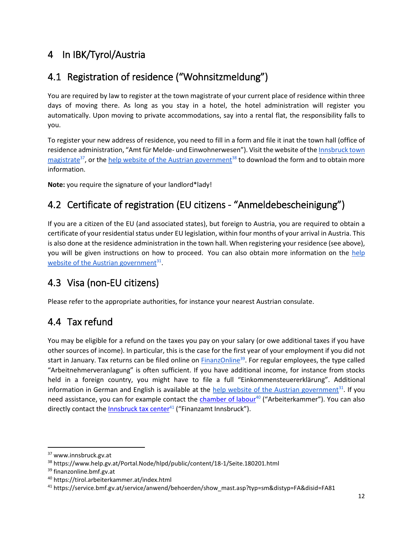### <span id="page-12-0"></span>4 In IBK/Tyrol/Austria

## <span id="page-12-1"></span>4.1 Registration of residence ("Wohnsitzmeldung")

You are required by law to register at the town magistrate of your current place of residence within three days of moving there. As long as you stay in a hotel, the hotel administration will register you automatically. Upon moving to private accommodations, say into a rental flat, the responsibility falls to you.

To register your new address of residence, you need to fill in a form and file it inat the town hall (office of residence administration, "Amt für Melde- und Einwohnerwesen"). Visit the website of the [Innsbruck town](https://www.innsbruck.gv.at/page.cfm?vpath=wohnen/wohnen/wohnsitzmeldungen)  [magistrate](https://www.innsbruck.gv.at/page.cfm?vpath=wohnen/wohnen/wohnsitzmeldungen)<sup>37</sup>, or th[e help website of the Austrian government](https://www.help.gv.at/Portal.Node/hlpd/public/content/18-1/Seite.180201.html)<sup>38</sup> to download the form and to obtain more information.

**Note:** you require the signature of your landlord\*lady!

## <span id="page-12-2"></span>4.2 Certificate of registration (EU citizens - "Anmeldebescheinigung")

If you are a citizen of the EU (and associated states), but foreign to Austria, you are required to obtain a certificate of your residential status under EU legislation, within four months of your arrival in Austria. This is also done at the residence administration in the town hall. When registering your residence (see above), you will be given instructions on how to proceed. You can also obtain more information on the [help](https://www.help.gv.at/Portal.Node/hlpd/public/content/12/Seite.120810.html)  [website of the Austrian government](https://www.help.gv.at/Portal.Node/hlpd/public/content/12/Seite.120810.html)<sup>31</sup>.

### <span id="page-12-3"></span>4.3 Visa (non-EU citizens)

Please refer to the appropriate authorities, for instance your nearest Austrian consulate.

### <span id="page-12-4"></span>4.4 Tax refund

You may be eligible for a refund on the taxes you pay on your salary (or owe additional taxes if you have other sources of income). In particular, this is the case for the first year of your employment if you did not start in January. Tax returns can be filed online on [FinanzOnline](https://finanzonline.bmf.gv.at/fon/)<sup>39</sup>. For regular employees, the type called "Arbeitnehmerveranlagung" is often sufficient. If you have additional income, for instance from stocks held in a foreign country, you might have to file a full "Einkommensteuererklärung". Additional information in German and English is available at the **help website of the Austrian government**<sup>31</sup>. If you need assistance, you can for example contact the [chamber of labour](https://tirol.arbeiterkammer.at/index.html)<sup>40</sup> ("Arbeiterkammer"). You can also directly contact the [Innsbruck tax center](https://service.bmf.gv.at/service/anwend/behoerden/show_mast.asp?typ=sm&distyp=FA&disid=FA81) $41$  ("Finanzamt Innsbruck").

<sup>37</sup> www.innsbruck.gv.at

<sup>38</sup> https://www.help.gv.at/Portal.Node/hlpd/public/content/18-1/Seite.180201.html

<sup>&</sup>lt;sup>39</sup> finanzonline.bmf.gv.at

<sup>40</sup> https://tirol.arbeiterkammer.at/index.html

<sup>41</sup> https://service.bmf.gv.at/service/anwend/behoerden/show\_mast.asp?typ=sm&distyp=FA&disid=FA81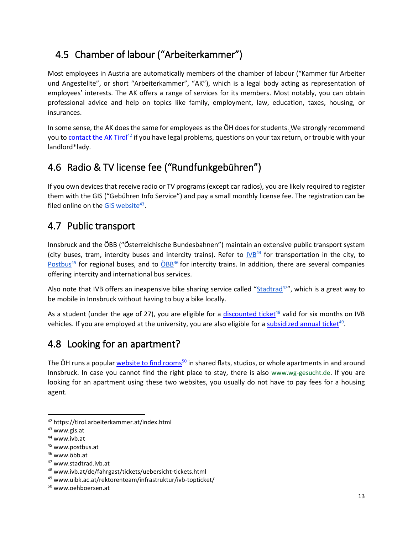### <span id="page-13-0"></span>4.5 Chamber of labour ("Arbeiterkammer")

Most employees in Austria are automatically members of the chamber of labour ("Kammer für Arbeiter und Angestellte", or short "Arbeiterkammer", "AK"), which is a legal body acting as representation of employees' interests. The AK offers a range of services for its members. Most notably, you can obtain professional advice and help on topics like family, employment, law, education, taxes, housing, or insurances.

In some sense, the AK does the same for employees as the ÖH does for students. We strongly recommend you t[o contact the AK Tirol](https://tirol.arbeiterkammer.at/index.html)<sup>42</sup> if you have legal problems, questions on your tax return, or trouble with your landlord\*lady.

## <span id="page-13-1"></span>4.6 Radio & TV license fee ("Rundfunkgebühren")

If you own devices that receive radio or TV programs (except car radios), you are likely required to register them with the GIS ("Gebühren Info Service") and pay a small monthly license fee. The registration can be filed online on the [GIS website](https://www.gis.a/)<sup>43</sup>.

#### <span id="page-13-2"></span>4.7 Public transport

Innsbruck and the ÖBB ("Österreichische Bundesbahnen") maintain an extensive public transport system (city buses, tram, intercity buses and intercity trains). Refer to  $V/B^{44}$  for transportation in the city, to [Postbus](http://www.postbus.at/)<sup>45</sup> for regional buses, and to [ÖBB](http://www.oebb.at/)<sup>46</sup> for intercity trains. In addition, there are several companies offering intercity and international bus services.

Also note that IVB offers an inexpensive bike sharing service called "[Stadtrad](https://stadtrad.ivb.at/)<sup>47</sup>", which is a great way to be mobile in Innsbruck without having to buy a bike locally.

As a student (under the age of 27), you are eligible for a [discounted ticket](http://www.ivb.at/de/fahrgast/tickets/uebersicht-tickets.html)<sup>48</sup> valid for six months on IVB vehicles. If you are employed at the university, you are also eligible for a [subsidized annual ticket](https://www.uibk.ac.at/rektorenteam/infrastruktur/ivb-topticket/)<sup>49</sup>.

### <span id="page-13-3"></span>4.8 Looking for an apartment?

The ÖH runs a popular [website to find rooms](http://www.oehboersen.at/)<sup>50</sup> in shared flats, studios, or whole apartments in and around Innsbruck. In case you cannot find the right place to stay, there is also [www.wg-gesucht.de](http://www.wg-gesucht.de/). If you are looking for an apartment using these two websites, you usually do not have to pay fees for a housing agent.

<sup>42</sup> https://tirol.arbeiterkammer.at/index.html

<sup>&</sup>lt;sup>43</sup> www.gis.at

<sup>44</sup> www.ivb.at

<sup>45</sup> www.postbus.at

<sup>46</sup> www.öbb.at

<sup>47</sup> www.stadtrad.ivb.at

<sup>48</sup> www.ivb.at/de/fahrgast/tickets/uebersicht-tickets.html

<sup>49</sup> www.uibk.ac.at/rektorenteam/infrastruktur/ivb-topticket/

<sup>50</sup> www.oehboersen.at